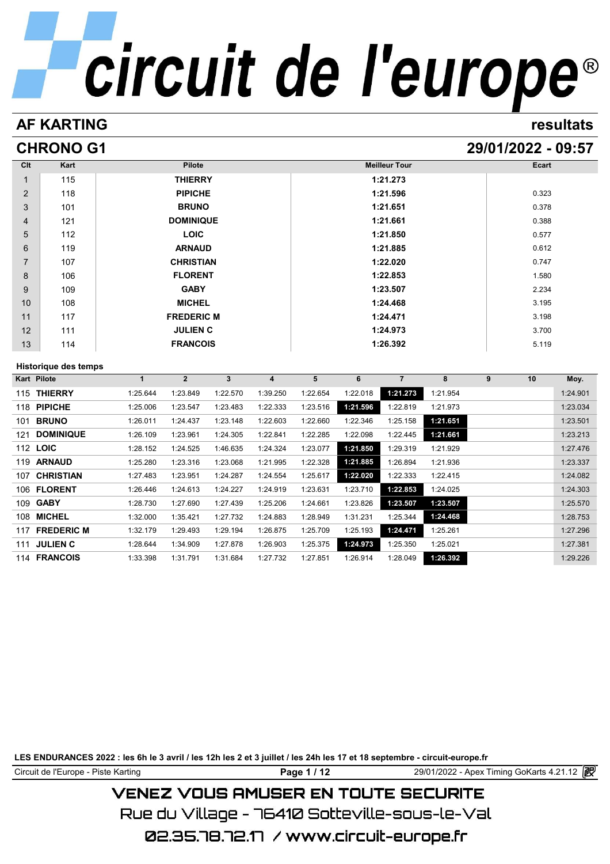# **AF KARTING resultats**

# **CHRONO G1 29/01/2022 - 09:57**

| Clt            | Kart                        |              | Pilote            |              |                |          |          | <b>Meilleur Tour</b> |          |   | Ecart |          |
|----------------|-----------------------------|--------------|-------------------|--------------|----------------|----------|----------|----------------------|----------|---|-------|----------|
| 1              | 115                         |              | <b>THIERRY</b>    |              |                |          |          | 1:21.273             |          |   |       |          |
| $\overline{2}$ | 118                         |              | <b>PIPICHE</b>    |              |                |          |          | 1:21.596             |          |   | 0.323 |          |
| 3              | 101                         |              | <b>BRUNO</b>      |              |                |          |          | 1:21.651             |          |   | 0.378 |          |
| 4              | 121                         |              | <b>DOMINIQUE</b>  |              |                |          |          | 1:21.661             |          |   | 0.388 |          |
| 5              | 112                         |              | <b>LOIC</b>       |              |                |          |          | 1:21.850             |          |   | 0.577 |          |
| 6              | 119                         |              | <b>ARNAUD</b>     |              |                |          |          | 1:21.885             |          |   | 0.612 |          |
| $\overline{7}$ | 107                         |              | <b>CHRISTIAN</b>  |              |                |          |          | 1:22.020             |          |   | 0.747 |          |
| 8              | 106                         |              | <b>FLORENT</b>    |              |                |          |          | 1:22.853             |          |   | 1.580 |          |
| 9              | 109                         |              | <b>GABY</b>       |              |                |          |          | 1:23.507             |          |   | 2.234 |          |
| 10             | 108                         |              | <b>MICHEL</b>     |              |                |          |          | 1:24.468             |          |   | 3.195 |          |
| 11             | 117                         |              | <b>FREDERIC M</b> |              |                |          |          | 1:24.471             |          |   | 3.198 |          |
| 12             | 111                         |              | <b>JULIEN C</b>   |              |                |          |          | 1:24.973             |          |   | 3.700 |          |
| 13             | 114                         |              | <b>FRANCOIS</b>   |              |                |          |          | 1:26.392             |          |   | 5.119 |          |
|                | <b>Historique des temps</b> |              |                   |              |                |          |          |                      |          |   |       |          |
| Kart Pilote    |                             | $\mathbf{1}$ | $\overline{2}$    | $\mathbf{3}$ | $\overline{4}$ | 5        | 6        | $\overline{7}$       | 8        | 9 | 10    | Moy.     |
|                | 115 THIERRY                 | 1:25.644     | 1:23.849          | 1:22.570     | 1:39.250       | 1:22.654 | 1:22.018 | 1:21.273             | 1:21.954 |   |       | 1:24.901 |
|                | 118 PIPICHE                 | 1:25.006     | 1:23.547          | 1:23.483     | 1:22.333       | 1:23.516 | 1:21.596 | 1:22.819             | 1:21.973 |   |       | 1:23.034 |
|                | 101 BRUNO                   | 1:26.011     | 1:24.437          | 1:23.148     | 1:22.603       | 1:22.660 | 1:22.346 | 1:25.158             | 1:21.651 |   |       | 1:23.501 |
| 121            | <b>DOMINIQUE</b>            | 1:26.109     | 1:23.961          | 1:24.305     | 1:22.841       | 1:22.285 | 1:22.098 | 1:22.445             | 1:21.661 |   |       | 1:23.213 |
| 112 LOIC       |                             | 1:28.152     | 1:24.525          | 1:46.635     | 1:24.324       | 1:23.077 | 1:21.850 | 1:29.319             | 1:21.929 |   |       | 1:27.476 |
|                | 119 ARNAUD                  | 1:25.280     | 1:23.316          | 1:23.068     | 1:21.995       | 1:22.328 | 1:21.885 | 1:26.894             | 1:21.936 |   |       | 1:23.337 |
|                | 107 CHRISTIAN               | 1:27.483     | 1:23.951          | 1:24.287     | 1:24.554       | 1:25.617 | 1:22.020 | 1:22.333             | 1:22.415 |   |       | 1:24.082 |
|                | 106 FLORENT                 | 1:26.446     | 1:24.613          | 1:24.227     | 1:24.919       | 1:23.631 | 1:23.710 | 1:22.853             | 1:24.025 |   |       | 1:24.303 |
|                | 109 GABY                    | 1:28.730     | 1:27.690          | 1:27.439     | 1:25.206       | 1:24.661 | 1:23.826 | 1:23.507             | 1:23.507 |   |       | 1:25.570 |
|                | 108 MICHEL                  | 1:32.000     | 1:35.421          | 1:27.732     | 1:24.883       | 1:28.949 | 1:31.231 | 1:25.344             | 1:24.468 |   |       | 1:28.753 |
|                | 117 FREDERIC M              | 1:32.179     | 1:29.493          | 1:29.194     | 1:26.875       | 1:25.709 | 1:25.193 | 1:24.471             | 1:25.261 |   |       | 1:27.296 |
|                | 111 JULIEN C                | 1:28.644     | 1:34.909          | 1:27.878     | 1:26.903       | 1:25.375 | 1:24.973 | 1:25.350             | 1:25.021 |   |       | 1:27.381 |
|                | 114 FRANCOIS                | 1:33.398     | 1:31.791          | 1:31.684     | 1:27.732       | 1:27.851 | 1:26.914 | 1:28.049             | 1:26.392 |   |       | 1:29.226 |

**LES ENDURANCES 2022 : les 6h le 3 avril / les 12h les 2 et 3 juillet / les 24h les 17 et 18 septembre - circuit-europe.fr**

Circuit de l'Europe - Piste Karting **Page 1 / 12 Page 1 / 12** 29/01/2022 - Apex Timing GoKarts 4.21.12

# **VENEZ VOUS AMUSER EN TOUTE SECURITE**

Rue du Village – 76410 Sotteville-sous-le-Val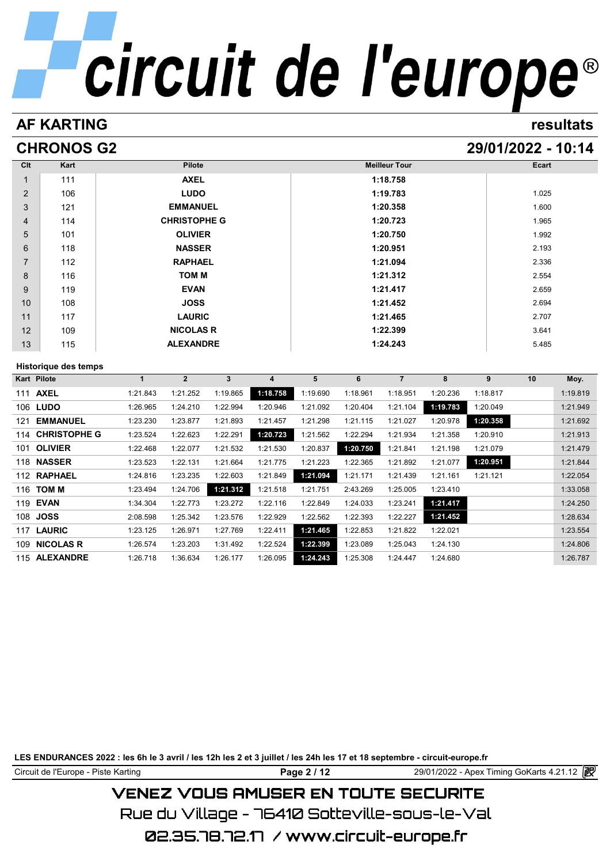# **AF KARTING resultats**

# **CHRONOS G2 29/01/2022 - 10:14**

| Clt            | Kart                        |              | Pilote              |                         |                         |          |          | <b>Meilleur Tour</b> |          |          | Ecart |          |
|----------------|-----------------------------|--------------|---------------------|-------------------------|-------------------------|----------|----------|----------------------|----------|----------|-------|----------|
| $\mathbf{1}$   | 111                         |              | <b>AXEL</b>         |                         |                         |          |          | 1:18.758             |          |          |       |          |
| $\overline{2}$ | 106                         |              | <b>LUDO</b>         |                         |                         |          |          | 1:19.783             |          |          | 1.025 |          |
| 3              | 121                         |              | <b>EMMANUEL</b>     |                         |                         |          |          | 1:20.358             |          |          | 1.600 |          |
| 4              | 114                         |              | <b>CHRISTOPHE G</b> |                         |                         |          |          | 1:20.723             |          |          | 1.965 |          |
| 5              | 101                         |              | <b>OLIVIER</b>      |                         |                         |          |          | 1:20.750             |          |          | 1.992 |          |
| 6              | 118                         |              | <b>NASSER</b>       |                         |                         |          |          | 1:20.951             |          |          | 2.193 |          |
| $\overline{7}$ | 112                         |              | <b>RAPHAEL</b>      |                         |                         |          |          | 1:21.094             |          |          | 2.336 |          |
| 8              | 116                         |              | <b>TOM M</b>        |                         |                         |          |          | 1:21.312             |          |          | 2.554 |          |
| 9              | 119                         |              | <b>EVAN</b>         |                         |                         |          |          | 1:21.417             |          |          | 2.659 |          |
| 10             | 108                         |              | <b>JOSS</b>         |                         |                         |          |          | 1:21.452             |          |          | 2.694 |          |
| 11             | 117                         |              | <b>LAURIC</b>       |                         |                         |          |          | 1:21.465             |          |          | 2.707 |          |
| 12             | 109                         |              | <b>NICOLAS R</b>    |                         |                         |          |          | 1:22.399             |          |          | 3.641 |          |
| 13             | 115                         |              | <b>ALEXANDRE</b>    |                         |                         |          |          | 1:24.243             |          |          | 5.485 |          |
|                |                             |              |                     |                         |                         |          |          |                      |          |          |       |          |
| Kart Pilote    | <b>Historique des temps</b> | $\mathbf{1}$ | $\overline{2}$      | $\overline{\mathbf{3}}$ | $\overline{\mathbf{4}}$ | 5        | 6        | $\overline{7}$       | 8        | 9        | 10    | Moy.     |
|                | 111 AXEL                    | 1:21.843     | 1:21.252            | 1:19.865                | 1:18.758                | 1:19.690 | 1:18.961 | 1:18.951             | 1:20.236 | 1:18.817 |       | 1:19.819 |
|                | 106 LUDO                    | 1:26.965     | 1:24.210            | 1:22.994                | 1:20.946                | 1:21.092 | 1:20.404 | 1:21.104             | 1:19.783 | 1:20.049 |       | 1:21.949 |
| 121            | <b>EMMANUEL</b>             | 1:23.230     | 1:23.877            | 1:21.893                | 1:21.457                | 1:21.298 | 1:21.115 | 1:21.027             | 1:20.978 | 1:20.358 |       | 1:21.692 |
|                | 114 CHRISTOPHE G            | 1:23.524     | 1:22.623            | 1:22.291                | 1:20.723                | 1:21.562 | 1:22.294 | 1:21.934             | 1:21.358 | 1:20.910 |       | 1:21.913 |
|                | 101 OLIVIER                 | 1:22.468     | 1:22.077            | 1:21.532                | 1:21.530                | 1:20.837 | 1:20.750 | 1:21.841             | 1:21.198 | 1:21.079 |       | 1:21.479 |
|                | 118 NASSER                  | 1:23.523     | 1:22.131            | 1:21.664                | 1:21.775                | 1:21.223 | 1:22.365 | 1:21.892             | 1:21.077 | 1:20.951 |       | 1:21.844 |
|                | 112 RAPHAEL                 | 1:24.816     | 1:23.235            | 1:22.603                | 1:21.849                | 1:21.094 | 1:21.171 | 1:21.439             | 1:21.161 | 1:21.121 |       | 1:22.054 |
|                | 116 TOM M                   | 1:23.494     | 1:24.706            | 1:21.312                | 1:21.518                | 1:21.751 | 2:43.269 | 1:25.005             | 1:23.410 |          |       | 1:33.058 |
|                | 119 EVAN                    | 1:34.304     | 1:22.773            | 1:23.272                | 1:22.116                | 1:22.849 | 1:24.033 | 1:23.241             | 1:21.417 |          |       | 1:24.250 |
|                | 108 JOSS                    | 2:08.598     | 1:25.342            | 1:23.576                | 1:22.929                | 1:22.562 | 1:22.393 | 1:22.227             | 1:21.452 |          |       | 1:28.634 |
|                | 117 LAURIC                  | 1:23.125     | 1:26.971            | 1:27.769                | 1:22.411                | 1:21.465 | 1:22.853 | 1:21.822             | 1:22.021 |          |       | 1:23.554 |
|                | 109 NICOLAS R               | 1:26.574     | 1:23.203            | 1:31.492                | 1:22.524                | 1:22.399 | 1:23.089 | 1:25.043             | 1:24.130 |          |       | 1:24.806 |
|                | 115 ALEXANDRE               | 1:26.718     | 1:36.634            | 1:26.177                | 1:26.095                | 1:24.243 | 1:25.308 | 1:24.447             | 1:24.680 |          |       | 1:26.787 |

**LES ENDURANCES 2022 : les 6h le 3 avril / les 12h les 2 et 3 juillet / les 24h les 17 et 18 septembre - circuit-europe.fr**

Circuit de l'Europe - Piste Karting **Page 2 / 12 Page 2 / 12** 29/01/2022 - Apex Timing GoKarts 4.21.12

# **VENEZ VOUS AMUSER EN TOUTE SECURITE**

Rue du Village – 76410 Sotteville-sous-le-Val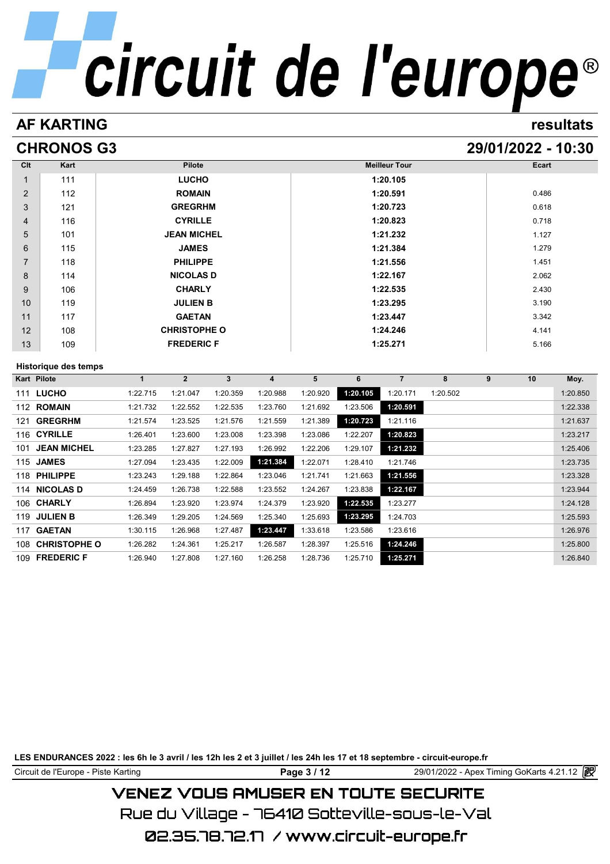# **AF KARTING resultats**

# **CHRONOS G3 29/01/2022 - 10:30**

| Clt            | Kart                        | Pilote              | <b>Meilleur Tour</b> | Ecart |
|----------------|-----------------------------|---------------------|----------------------|-------|
| $\mathbf{1}$   | 111                         | <b>LUCHO</b>        | 1:20.105             |       |
| 2              | 112                         | <b>ROMAIN</b>       | 1:20.591             | 0.486 |
| 3              | 121                         | <b>GREGRHM</b>      | 1:20.723             | 0.618 |
| 4              | 116                         | <b>CYRILLE</b>      | 1:20.823             | 0.718 |
| 5              | 101                         | <b>JEAN MICHEL</b>  | 1:21.232             | 1.127 |
| 6              | 115                         | <b>JAMES</b>        | 1:21.384             | 1.279 |
| $\overline{7}$ | 118                         | <b>PHILIPPE</b>     | 1:21.556             | 1.451 |
| 8              | 114                         | <b>NICOLAS D</b>    | 1:22.167             | 2.062 |
| 9              | 106                         | <b>CHARLY</b>       | 1:22.535             | 2.430 |
| 10             | 119                         | <b>JULIEN B</b>     | 1:23.295             | 3.190 |
| 11             | 117                         | <b>GAETAN</b>       | 1:23.447             | 3.342 |
| 12             | 108                         | <b>CHRISTOPHE O</b> | 1:24.246             | 4.141 |
| 13             | 109                         | <b>FREDERIC F</b>   | 1:25.271             | 5.166 |
|                | <b>Historique des temps</b> |                     |                      |       |

| Historique des temps       |          |              |          |          |          |          |                |          |   |    |          |
|----------------------------|----------|--------------|----------|----------|----------|----------|----------------|----------|---|----|----------|
| Kart Pilote                |          | $\mathbf{2}$ | 3        | 4        | 5        | 6        | $\overline{7}$ | 8        | 9 | 10 | Moy.     |
| <b>LUCHO</b><br>111        | 1:22.715 | 1:21.047     | 1:20.359 | 1:20.988 | 1:20.920 | 1:20.105 | 1:20.171       | 1:20.502 |   |    | 1:20.850 |
| <b>ROMAIN</b><br>112       | 1:21.732 | 1:22.552     | 1:22.535 | 1:23.760 | 1:21.692 | 1:23.506 | 1:20.591       |          |   |    | 1:22.338 |
| <b>GREGRHM</b><br>121      | 1:21.574 | 1:23.525     | 1:21.576 | 1:21.559 | 1:21.389 | 1:20.723 | 1:21.116       |          |   |    | 1:21.637 |
| 116 CYRILLE                | 1:26.401 | 1:23.600     | 1:23.008 | 1:23.398 | 1:23.086 | 1:22.207 | 1:20.823       |          |   |    | 1:23.217 |
| <b>JEAN MICHEL</b><br>101  | 1:23.285 | 1:27.827     | 1:27.193 | 1:26.992 | 1:22.206 | 1:29.107 | 1:21.232       |          |   |    | 1:25.406 |
| 115 JAMES                  | 1:27.094 | 1:23.435     | 1:22.009 | 1:21.384 | 1:22.071 | 1:28.410 | 1:21.746       |          |   |    | 1:23.735 |
| <b>PHILIPPE</b><br>118     | 1:23.243 | 1:29.188     | 1:22.864 | 1:23.046 | 1:21.741 | 1:21.663 | 1:21.556       |          |   |    | 1:23.328 |
| 114 NICOLAS D              | 1:24.459 | 1:26.738     | 1:22.588 | 1:23.552 | 1:24.267 | 1:23.838 | 1:22.167       |          |   |    | 1:23.944 |
| 106 CHARLY                 | 1:26.894 | 1:23.920     | 1:23.974 | 1:24.379 | 1:23.920 | 1:22.535 | 1:23.277       |          |   |    | 1:24.128 |
| <b>JULIEN B</b><br>119     | 1:26.349 | 1:29.205     | 1:24.569 | 1:25.340 | 1:25.693 | 1:23.295 | 1:24.703       |          |   |    | 1:25.593 |
| <b>GAETAN</b><br>117       | 1:30.115 | 1:26.968     | 1:27.487 | 1:23.447 | 1:33.618 | 1:23.586 | 1:23.616       |          |   |    | 1:26.976 |
| <b>CHRISTOPHE O</b><br>108 | 1:26.282 | 1:24.361     | 1:25.217 | 1:26.587 | 1:28.397 | 1:25.516 | 1:24.246       |          |   |    | 1:25.800 |
| <b>FREDERIC F</b><br>109   | 1:26.940 | 1:27.808     | 1:27.160 | 1:26.258 | 1:28.736 | 1:25.710 | 1:25.271       |          |   |    | 1:26.840 |

**LES ENDURANCES 2022 : les 6h le 3 avril / les 12h les 2 et 3 juillet / les 24h les 17 et 18 septembre - circuit-europe.fr**

Circuit de l'Europe - Piste Karting **Page 3 / 12 Page 3 / 12** 29/01/2022 - Apex Timing GoKarts 4.21.12

# **VENEZ VOUS AMUSER EN TOUTE SECURITE**

Rue du Village – 76410 Sotteville-sous-le-Val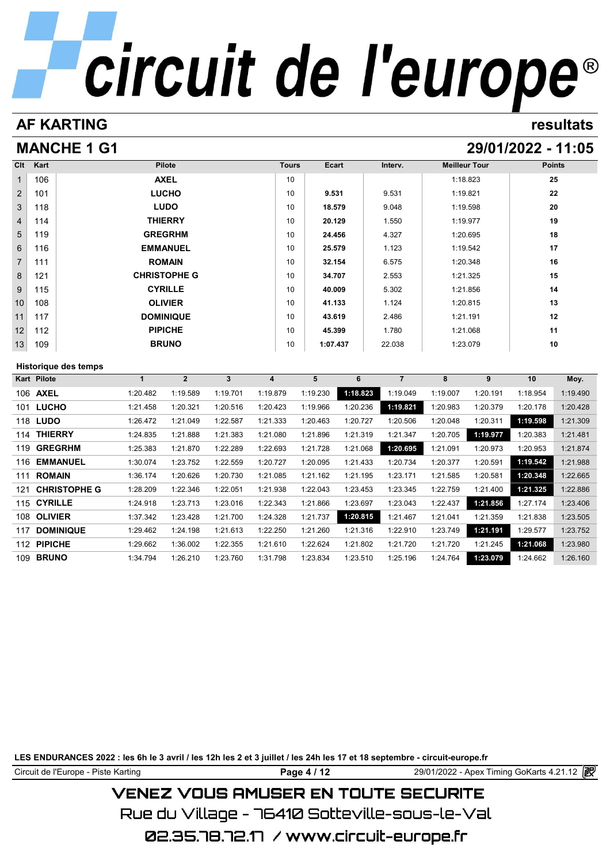# **AF KARTING resultats**

# **MANCHE 1 G1 29/01/2022 - 11:05**

| Clt             | Kart | Pilote              | <b>Tours</b> | Ecart    | Interv. | <b>Meilleur Tour</b> | <b>Points</b> |
|-----------------|------|---------------------|--------------|----------|---------|----------------------|---------------|
| $\mathbf{1}$    | 106  | <b>AXEL</b>         | 10           |          |         | 1:18.823             | 25            |
| $\overline{2}$  | 101  | <b>LUCHO</b>        | 10           | 9.531    | 9.531   | 1:19.821             | 22            |
| $\mathbf{3}$    | 118  | <b>LUDO</b>         | 10           | 18.579   | 9.048   | 1:19.598             | 20            |
| $\overline{4}$  | 114  | <b>THIERRY</b>      | 10           | 20.129   | 1.550   | 1:19.977             | 19            |
| $5\overline{)}$ | 119  | <b>GREGRHM</b>      | 10           | 24.456   | 4.327   | 1:20.695             | 18            |
| 6               | 116  | <b>EMMANUEL</b>     | 10           | 25.579   | 1.123   | 1:19.542             | 17            |
| $\overline{7}$  | 111  | <b>ROMAIN</b>       | 10           | 32.154   | 6.575   | 1:20.348             | 16            |
| 8               | 121  | <b>CHRISTOPHE G</b> | 10           | 34.707   | 2.553   | 1:21.325             | 15            |
| 9               | 115  | <b>CYRILLE</b>      | 10           | 40.009   | 5.302   | 1:21.856             | 14            |
| 10              | 108  | <b>OLIVIER</b>      | 10           | 41.133   | 1.124   | 1:20.815             | 13            |
| 11              | 117  | <b>DOMINIQUE</b>    | 10           | 43.619   | 2.486   | 1:21.191             | 12            |
| 12              | 112  | <b>PIPICHE</b>      | 10           | 45.399   | 1.780   | 1:21.068             | 11            |
| 13              | 109  | <b>BRUNO</b>        | 10           | 1:07.437 | 22.038  | 1:23.079             | 10            |

# **Historique des temps**

| Historique des temps       |          |                |          |          |          |          |          |          |          |          |          |
|----------------------------|----------|----------------|----------|----------|----------|----------|----------|----------|----------|----------|----------|
| Kart Pilote                |          | $\overline{2}$ | 3        | 4        | 5        | 6        | 7        | 8        | 9        | 10       | Moy.     |
| 106 AXEL                   | 1:20.482 | 1:19.589       | 1:19.701 | 1:19.879 | 1:19.230 | 1:18.823 | 1:19.049 | 1:19.007 | 1:20.191 | 1:18.954 | 1:19.490 |
| <b>LUCHO</b><br>101        | 1:21.458 | 1:20.321       | 1:20.516 | 1:20.423 | 1:19.966 | 1:20.236 | 1:19.821 | 1:20.983 | 1:20.379 | 1:20.178 | 1:20.428 |
| 118 <b>LUDO</b>            | 1:26.472 | 1:21.049       | 1:22.587 | 1:21.333 | 1:20.463 | 1:20.727 | 1:20.506 | 1:20.048 | 1:20.311 | 1:19.598 | 1:21.309 |
| <b>THIERRY</b><br>114      | 1:24.835 | 1:21.888       | 1:21.383 | 1:21.080 | 1:21.896 | 1:21.319 | 1:21.347 | 1:20.705 | 1:19.977 | 1:20.383 | 1:21.481 |
| <b>GREGRHM</b><br>119      | 1:25.383 | 1:21.870       | 1:22.289 | 1:22.693 | 1:21.728 | 1:21.068 | 1:20.695 | 1:21.091 | 1:20.973 | 1:20.953 | 1:21.874 |
| <b>EMMANUEL</b><br>116     | 1:30.074 | 1:23.752       | 1:22.559 | 1:20.727 | 1:20.095 | 1:21.433 | 1:20.734 | 1:20.377 | 1:20.591 | 1:19.542 | 1:21.988 |
| <b>ROMAIN</b><br>111       | 1:36.174 | 1:20.626       | 1:20.730 | 1:21.085 | 1:21.162 | 1:21.195 | 1:23.171 | 1:21.585 | 1:20.581 | 1:20.348 | 1:22.665 |
| <b>CHRISTOPHE G</b><br>121 | 1:28.209 | 1:22.346       | 1:22.051 | 1:21.938 | 1:22.043 | 1:23.453 | 1:23.345 | 1:22.759 | 1:21.400 | 1:21.325 | 1:22.886 |
| <b>CYRILLE</b><br>115      | 1:24.918 | 1:23.713       | 1:23.016 | 1:22.343 | 1:21.866 | 1:23.697 | 1:23.043 | 1:22.437 | 1:21.856 | 1:27.174 | 1:23.406 |
| <b>OLIVIER</b><br>108      | 1:37.342 | 1:23.428       | 1:21.700 | 1:24.328 | 1:21.737 | 1:20.815 | 1:21.467 | 1:21.041 | 1:21.359 | 1:21.838 | 1:23.505 |
| <b>DOMINIQUE</b><br>117    | 1:29.462 | 1:24.198       | 1:21.613 | 1:22.250 | 1:21.260 | 1:21.316 | 1:22.910 | 1:23.749 | 1:21.191 | 1:29.577 | 1:23.752 |
| <b>PIPICHE</b><br>112      | 1:29.662 | 1:36.002       | 1:22.355 | 1:21.610 | 1:22.624 | 1:21.802 | 1:21.720 | 1:21.720 | 1:21.245 | 1:21.068 | 1:23.980 |
| <b>BRUNO</b><br>109        | 1:34.794 | 1:26.210       | 1:23.760 | 1:31.798 | 1:23.834 | 1:23.510 | 1:25.196 | 1:24.764 | 1:23.079 | 1:24.662 | 1:26.160 |

**LES ENDURANCES 2022 : les 6h le 3 avril / les 12h les 2 et 3 juillet / les 24h les 17 et 18 septembre - circuit-europe.fr**

Circuit de l'Europe - Piste Karting **Page 4 / 12 Page 4 / 12** 29/01/2022 - Apex Timing GoKarts 4.21.12

# **VENEZ VOUS AMUSER EN TOUTE SECURITE**

Rue du Village – 76410 Sotteville-sous-le-Val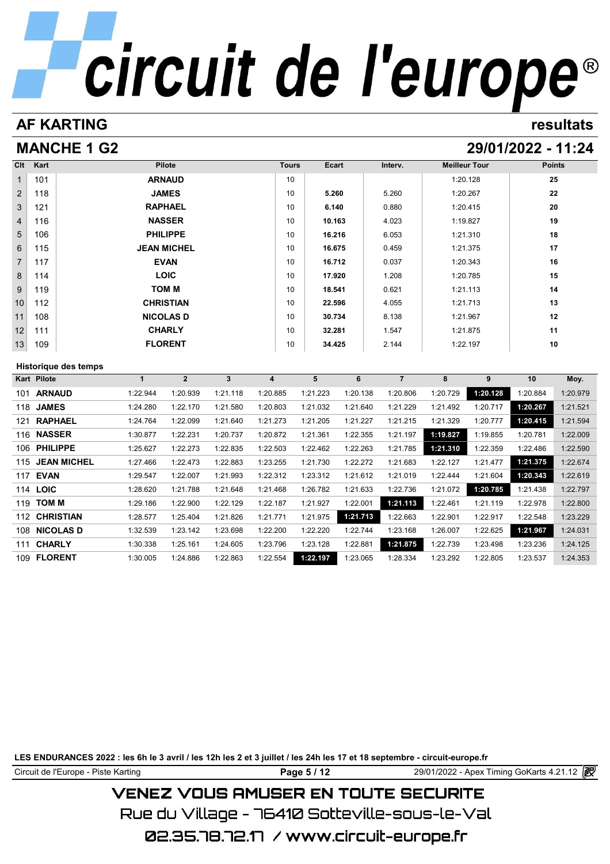# **AF KARTING Circuit de l'europe<sup>®</sup>**

# **MANCHE 1 G2 29/01/2022 - 11:24**

| Clt            | Kart            |                             |              | Pilote             |              |                         | <b>Tours</b> | Ecart    | Interv.        | <b>Meilleur Tour</b> |          | <b>Points</b> |          |
|----------------|-----------------|-----------------------------|--------------|--------------------|--------------|-------------------------|--------------|----------|----------------|----------------------|----------|---------------|----------|
| 1              | 101             |                             |              | <b>ARNAUD</b>      |              |                         | 10           |          |                | 1:20.128             |          | 25            |          |
| $\overline{2}$ | 118             |                             |              | <b>JAMES</b>       |              |                         | 10           | 5.260    | 5.260          |                      | 1:20.267 |               | 22       |
| 3              | 121             |                             |              | <b>RAPHAEL</b>     |              |                         | 10           | 6.140    | 0.880          |                      | 1:20.415 | 20            |          |
| $\overline{4}$ | 116             |                             |              | <b>NASSER</b>      |              |                         | 10           | 10.163   | 4.023          | 1:19.827             |          | 19            |          |
| 5              | 106             |                             |              | <b>PHILIPPE</b>    |              |                         | 10           | 16.216   | 6.053          | 1:21.310             |          | 18            |          |
| 6              | 115             |                             |              | <b>JEAN MICHEL</b> |              |                         | 10           | 16.675   | 0.459          | 1:21.375             |          | 17            |          |
| $\overline{7}$ | 117             |                             |              | <b>EVAN</b>        |              |                         | 10           | 16.712   | 0.037          | 1:20.343             |          | 16            |          |
| 8              | 114             |                             |              | <b>LOIC</b>        |              |                         | 10           | 17.920   | 1.208          | 1:20.785             |          | 15            |          |
| 9              | 119             |                             |              | TOM M              |              |                         | 10           | 18.541   | 0.621          | 1:21.113             |          |               | 14       |
| 10             | 112             |                             |              | <b>CHRISTIAN</b>   |              |                         | 10           | 22.596   | 4.055          | 1:21.713             |          | 13            |          |
| 11             | 108             |                             |              | <b>NICOLAS D</b>   |              |                         | 10           | 30.734   | 8.138          | 1:21.967             |          |               | 12       |
| 12             | 111             |                             |              | <b>CHARLY</b>      |              |                         | 10           | 32.281   | 1.547          | 1:21.875             |          | 11            |          |
| 13             | 109             |                             |              | <b>FLORENT</b>     |              |                         | 10           | 34.425   | 2.144          |                      | 1:22.197 | 10            |          |
|                |                 | <b>Historique des temps</b> |              |                    |              |                         |              |          |                |                      |          |               |          |
|                | Kart Pilote     |                             | $\mathbf{1}$ | $\mathbf{2}$       | $\mathbf{3}$ | $\overline{\mathbf{4}}$ | 5            | 6        | $\overline{7}$ | 8                    | 9        | 10            | Moy.     |
| 101            | <b>ARNAUD</b>   |                             | 1:22.944     | 1:20.939           | 1:21.118     | 1:20.885                | 1:21.223     | 1:20.138 | 1:20.806       | 1:20.729             | 1:20.128 | 1:20.884      | 1:20.979 |
|                | 118 JAMES       |                             | 1:24.280     | 1:22.170           | 1:21.580     | 1:20.803                | 1:21.032     | 1:21.640 | 1:21.229       | 1:21.492             | 1:20.717 | 1:20.267      | 1:21.521 |
| 121            |                 | <b>RAPHAEL</b>              | 1:24.764     | 1:22.099           | 1:21.640     | 1:21.273                | 1:21.205     | 1:21.227 | 1:21.215       | 1:21.329             | 1:20.777 | 1:20.415      | 1:21.594 |
|                | 116 NASSER      |                             | 1:30.877     | 1:22.231           | 1:20.737     | 1:20.872                | 1:21.361     | 1:22.355 | 1:21.197       | 1:19.827             | 1:19.855 | 1:20.781      | 1:22.009 |
|                | 106 PHILIPPE    |                             | 1:25.627     | 1:22.273           | 1:22.835     | 1:22.503                | 1:22.462     | 1:22.263 | 1:21.785       | 1:21.310             | 1:22.359 | 1:22.486      | 1:22.590 |
| 115            |                 | <b>JEAN MICHEL</b>          |              |                    |              |                         |              |          |                | 1:22.127             |          | 1:21.375      | 1:22.674 |
|                |                 |                             | 1:27.466     | 1:22.473           | 1:22.883     | 1:23.255                | 1:21.730     | 1:22.272 | 1:21.683       |                      | 1:21.477 |               |          |
|                | <b>117 EVAN</b> |                             | 1:29.547     | 1:22.007           | 1:21.993     | 1:22.312                | 1:23.312     | 1:21.612 | 1:21.019       | 1:22.444             | 1:21.604 | 1:20.343      | 1:22.619 |
|                | 114 LOIC        |                             | 1:28.620     | 1:21.788           | 1:21.648     | 1:21.468                | 1:26.782     | 1:21.633 | 1:22.736       | 1:21.072             | 1:20.785 | 1:21.438      | 1:22.797 |
| 119            | <b>TOM M</b>    |                             | 1:29.186     | 1:22.900           | 1:22.129     | 1:22.187                | 1:21.927     | 1:22.001 | 1:21.113       | 1:22.461             | 1:21.119 | 1:22.978      | 1:22.800 |
| 112            |                 | <b>CHRISTIAN</b>            | 1:28.577     | 1:25.404           | 1:21.826     | 1:21.771                | 1:21.975     | 1:21.713 | 1:22.663       | 1:22.901             | 1:22.917 | 1:22.548      | 1:23.229 |
|                |                 | 108 NICOLAS D               | 1:32.539     | 1:23.142           | 1:23.698     | 1:22.200                | 1:22.220     | 1:22.744 | 1:23.168       | 1:26.007             | 1:22.625 | 1:21.967      | 1:24.031 |

**FLORENT** 1:30.005 1:24.886 1:22.863 1:22.554 **1:22.197** 1:23.065 1:28.334 1:23.292 1:22.805 1:23.537 1:24.353

**LES ENDURANCES 2022 : les 6h le 3 avril / les 12h les 2 et 3 juillet / les 24h les 17 et 18 septembre - circuit-europe.fr**

Circuit de l'Europe - Piste Karting **Page 5 / 12 Page 5 / 12** 29/01/2022 - Apex Timing GoKarts 4.21.12

# **VENEZ VOUS AMUSER EN TOUTE SECURITE**

Rue du Village – 76410 Sotteville-sous-le-Val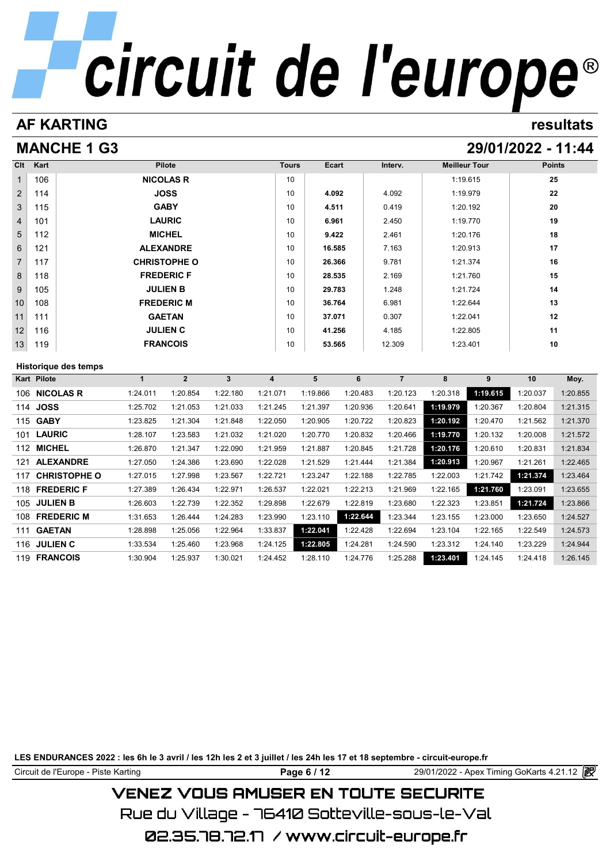# **AF KARTING resultats**

# **MANCHE 1 G3 29/01/2022 - 11:44**

| Clt            | Kart            |                      |              | Pilote              |                         |                         | <b>Tours</b> | <b>Ecart</b> |          | Interv.        | <b>Meilleur Tour</b> |          | <b>Points</b> |          |
|----------------|-----------------|----------------------|--------------|---------------------|-------------------------|-------------------------|--------------|--------------|----------|----------------|----------------------|----------|---------------|----------|
| 1              | 106             |                      |              | <b>NICOLAS R</b>    |                         |                         | 10           |              |          |                | 1:19.615             |          |               | 25       |
| $\overline{2}$ | 114             |                      |              | <b>JOSS</b>         |                         |                         | 10           | 4.092        |          | 4.092          | 1:19.979             |          | 22            |          |
| 3              | 115             |                      |              | <b>GABY</b>         |                         |                         | 10           | 4.511        |          | 0.419          | 1:20.192             |          | 20            |          |
| $\overline{4}$ | 101             |                      |              | <b>LAURIC</b>       |                         |                         | 10           | 6.961        |          | 2.450          | 1:19.770             |          | 19            |          |
| 5              | 112             |                      |              | <b>MICHEL</b>       |                         |                         | 10           | 9.422        |          | 2.461          | 1:20.176             |          | 18            |          |
| 6              | 121             |                      |              | <b>ALEXANDRE</b>    |                         |                         | 10           | 16.585       |          | 7.163          | 1:20.913             |          | 17            |          |
| $\overline{7}$ | 117             |                      |              | <b>CHRISTOPHE O</b> |                         |                         | 10           | 26.366       |          | 9.781          | 1:21.374             |          | 16            |          |
| 8              | 118             |                      |              | <b>FREDERIC F</b>   |                         |                         | 10           | 28.535       |          | 2.169          | 1:21.760             |          | 15            |          |
| 9              | 105             |                      |              | <b>JULIEN B</b>     |                         |                         | 10           | 29.783       |          | 1.248          | 1:21.724             |          | 14            |          |
| 10             | 108             |                      |              | <b>FREDERIC M</b>   |                         |                         | 10           | 36.764       |          | 6.981          | 1:22.644             |          | 13            |          |
| 11             | 111             |                      |              | <b>GAETAN</b>       |                         |                         | 10           | 37.071       |          | 0.307          | 1:22.041             |          |               | 12       |
| 12             | 116             |                      |              | <b>JULIEN C</b>     |                         |                         | 10           | 41.256       |          | 4.185          | 1:22.805             |          | 11            |          |
| 13             | 119             |                      |              | <b>FRANCOIS</b>     |                         |                         | 10           | 53.565       |          | 12.309         | 1:23.401             |          | 10            |          |
|                |                 |                      |              |                     |                         |                         |              |              |          |                |                      |          |               |          |
|                |                 |                      |              |                     |                         |                         |              |              |          |                |                      |          |               |          |
|                | Kart Pilote     | Historique des temps | $\mathbf{1}$ | 2 <sup>1</sup>      | $\overline{\mathbf{3}}$ | $\overline{\mathbf{4}}$ |              | 5            | 6        | $\overline{7}$ | 8                    | 9        | 10            | Moy.     |
|                |                 | 106 NICOLAS R        | 1:24.011     | 1:20.854            | 1:22.180                | 1:21.071                |              | 1:19.866     | 1:20.483 | 1:20.123       | 1:20.318             | 1:19.615 | 1:20.037      | 1:20.855 |
|                | 114 JOSS        |                      | 1:25.702     | 1:21.053            | 1:21.033                | 1:21.245                |              | 1:21.397     | 1:20.936 | 1:20.641       | 1:19.979             | 1:20.367 | 1:20.804      | 1:21.315 |
|                | 115 GABY        |                      | 1:23.825     | 1:21.304            | 1:21.848                | 1:22.050                |              | 1:20.905     | 1:20.722 | 1:20.823       | 1:20.192             | 1:20.470 | 1:21.562      | 1:21.370 |
| 101            | <b>LAURIC</b>   |                      | 1:28.107     | 1:23.583            | 1:21.032                | 1:21.020                |              | 1:20.770     | 1:20.832 | 1:20.466       | 1:19.770             | 1:20.132 | 1:20.008      | 1:21.572 |
|                | 112 MICHEL      |                      | 1:26.870     | 1:21.347            | 1:22.090                | 1:21.959                |              | 1:21.887     | 1:20.845 | 1:21.728       | 1:20.176             | 1:20.610 | 1:20.831      | 1:21.834 |
| 121            |                 | <b>ALEXANDRE</b>     | 1:27.050     | 1:24.386            | 1:23.690                | 1:22.028                |              | 1:21.529     | 1:21.444 | 1:21.384       | 1:20.913             | 1:20.967 | 1:21.261      | 1:22.465 |
| 117            |                 | <b>CHRISTOPHE O</b>  | 1:27.015     | 1:27.998            | 1:23.567                | 1:22.721                |              | 1:23.247     | 1:22.188 | 1:22.785       | 1:22.003             | 1:21.742 | 1:21.374      | 1:23.464 |
|                |                 | 118 FREDERIC F       | 1:27.389     | 1:26.434            | 1:22.971                | 1:26.537                |              | 1:22.021     | 1:22.213 | 1:21.969       | 1:22.165             | 1:21.760 | 1:23.091      | 1:23.655 |
| 105            | <b>JULIEN B</b> |                      | 1:26.603     | 1:22.739            | 1:22.352                | 1:29.898                |              | 1:22.679     | 1:22.819 | 1:23.680       | 1:22.323             | 1:23.851 | 1:21.724      | 1:23.866 |
|                |                 | 108 FREDERIC M       | 1:31.653     | 1:26.444            | 1:24.283                | 1:23.990                |              | 1:23.110     | 1:22.644 | 1:23.344       | 1:23.155             | 1:23.000 | 1:23.650      | 1:24.527 |
| 111            | <b>GAETAN</b>   |                      | 1:28.898     | 1:25.056            | 1:22.964                | 1:33.837                |              | 1:22.041     | 1:22.428 | 1:22.694       | 1:23.104             | 1:22.165 | 1:22.549      | 1:24.573 |

**FRANCOIS** 1:30.904 1:25.937 1:30.021 1:24.452 1:28.110 1:24.776 1:25.288 **1:23.401** 1:24.145 1:24.418 1:26.145

**LES ENDURANCES 2022 : les 6h le 3 avril / les 12h les 2 et 3 juillet / les 24h les 17 et 18 septembre - circuit-europe.fr**

Circuit de l'Europe - Piste Karting **Page 6 / 12 Page 6 / 12** 29/01/2022 - Apex Timing GoKarts 4.21.12

# **VENEZ VOUS AMUSER EN TOUTE SECURITE**

Rue du Village – 76410 Sotteville-sous-le-Val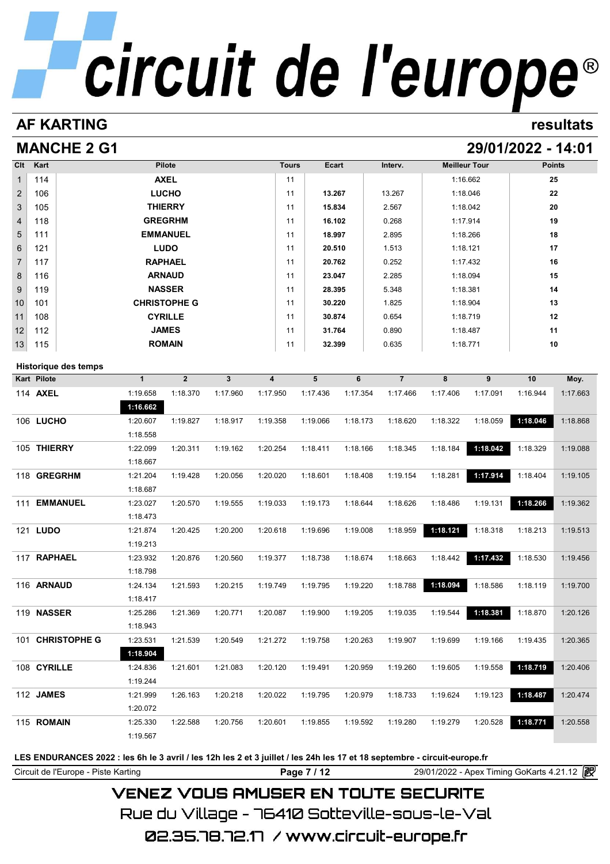# **AF KARTING resultats**

# **MANCHE 2 G1 29/01/2022 - 14:01**

| Cl <sub>t</sub> | Kart | <b>Pilote</b>       | <b>Tours</b> | Ecart  | Interv. | <b>Meilleur Tour</b> | <b>Points</b> |
|-----------------|------|---------------------|--------------|--------|---------|----------------------|---------------|
| 1               | 114  | <b>AXEL</b>         | 11           |        |         | 1:16.662             | 25            |
| $\overline{2}$  | 106  | <b>LUCHO</b>        | 11           | 13.267 | 13.267  | 1:18.046             | 22            |
| 3               | 105  | <b>THIERRY</b>      | 11           | 15.834 | 2.567   | 1:18.042             | 20            |
| 4               | 118  | <b>GREGRHM</b>      | 11           | 16.102 | 0.268   | 1:17.914             | 19            |
| 5               | 111  | <b>EMMANUEL</b>     | 11           | 18.997 | 2.895   | 1:18.266             | 18            |
| 6               | 121  | <b>LUDO</b>         | 11           | 20.510 | 1.513   | 1:18.121             | 17            |
| $\overline{7}$  | 117  | <b>RAPHAEL</b>      | 11           | 20.762 | 0.252   | 1:17.432             | 16            |
| 8               | 116  | <b>ARNAUD</b>       | 11           | 23.047 | 2.285   | 1:18.094             | 15            |
| 9               | 119  | <b>NASSER</b>       | 11           | 28.395 | 5.348   | 1:18.381             | 14            |
| 10              | 101  | <b>CHRISTOPHE G</b> | 11           | 30.220 | 1.825   | 1:18.904             | 13            |
| 11              | 108  | <b>CYRILLE</b>      | 11           | 30.874 | 0.654   | 1:18.719             | 12            |
| 12              | 112  | <b>JAMES</b>        | 11           | 31.764 | 0.890   | 1:18.487             | 11            |
| 13              | 115  | <b>ROMAIN</b>       | 11           | 32.399 | 0.635   | 1:18.771             | 10            |

# **Historique des temps**

| <b>Historique des temps</b> |              |                |              |                         |          |          |                |          |          |          |          |
|-----------------------------|--------------|----------------|--------------|-------------------------|----------|----------|----------------|----------|----------|----------|----------|
| <b>Kart Pilote</b>          | $\mathbf{1}$ | $\overline{2}$ | $\mathbf{3}$ | $\overline{\mathbf{4}}$ | 5        | 6        | $\overline{7}$ | 8        | 9        | 10       | Moy.     |
| 114 AXEL                    | 1:19.658     | 1:18.370       | 1:17.960     | 1:17.950                | 1:17.436 | 1:17.354 | 1:17.466       | 1:17.406 | 1:17.091 | 1:16.944 | 1:17.663 |
|                             | 1:16.662     |                |              |                         |          |          |                |          |          |          |          |
| 106 LUCHO                   | 1:20.607     | 1:19.827       | 1:18.917     | 1:19.358                | 1:19.066 | 1:18.173 | 1:18.620       | 1:18.322 | 1:18.059 | 1:18.046 | 1:18.868 |
|                             | 1:18.558     |                |              |                         |          |          |                |          |          |          |          |
| 105 THIERRY                 | 1:22.099     | 1:20.311       | 1:19.162     | 1:20.254                | 1:18.411 | 1:18.166 | 1:18.345       | 1:18.184 | 1:18.042 | 1:18.329 | 1:19.088 |
|                             | 1:18.667     |                |              |                         |          |          |                |          |          |          |          |
| 118 GREGRHM                 | 1:21.204     | 1:19.428       | 1:20.056     | 1:20.020                | 1:18.601 | 1:18.408 | 1:19.154       | 1:18.281 | 1:17.914 | 1:18.404 | 1:19.105 |
|                             | 1:18.687     |                |              |                         |          |          |                |          |          |          |          |
| 111 EMMANUEL                | 1:23.027     | 1:20.570       | 1:19.555     | 1:19.033                | 1:19.173 | 1:18.644 | 1:18.626       | 1:18.486 | 1:19.131 | 1:18.266 | 1:19.362 |
|                             | 1:18.473     |                |              |                         |          |          |                |          |          |          |          |
| 121 <b>LUDO</b>             | 1:21.874     | 1:20.425       | 1:20.200     | 1:20.618                | 1:19.696 | 1:19.008 | 1:18.959       | 1:18.121 | 1:18.318 | 1:18.213 | 1:19.513 |
|                             | 1:19.213     |                |              |                         |          |          |                |          |          |          |          |
| 117 RAPHAEL                 | 1:23.932     | 1:20.876       | 1:20.560     | 1:19.377                | 1:18.738 | 1:18.674 | 1:18.663       | 1:18.442 | 1:17.432 | 1:18.530 | 1:19.456 |
|                             | 1:18.798     |                |              |                         |          |          |                |          |          |          |          |
| 116 ARNAUD                  | 1:24.134     | 1:21.593       | 1:20.215     | 1:19.749                | 1:19.795 | 1:19.220 | 1:18.788       | 1:18.094 | 1:18.586 | 1:18.119 | 1:19.700 |
|                             | 1:18.417     |                |              |                         |          |          |                |          |          |          |          |
| 119 NASSER                  | 1:25.286     | 1:21.369       | 1:20.771     | 1:20.087                | 1:19.900 | 1:19.205 | 1:19.035       | 1:19.544 | 1:18.381 | 1:18.870 | 1:20.126 |
|                             | 1:18.943     |                |              |                         |          |          |                |          |          |          |          |
| <b>CHRISTOPHE G</b><br>101  | 1:23.531     | 1:21.539       | 1:20.549     | 1:21.272                | 1:19.758 | 1:20.263 | 1:19.907       | 1:19.699 | 1:19.166 | 1:19.435 | 1:20.365 |
|                             | 1:18.904     |                |              |                         |          |          |                |          |          |          |          |
| 108 CYRILLE                 | 1:24.836     | 1:21.601       | 1:21.083     | 1:20.120                | 1:19.491 | 1:20.959 | 1:19.260       | 1:19.605 | 1:19.558 | 1:18.719 | 1:20.406 |
|                             | 1:19.244     |                |              |                         |          |          |                |          |          |          |          |
| 112 JAMES                   | 1:21.999     | 1:26.163       | 1:20.218     | 1:20.022                | 1:19.795 | 1:20.979 | 1:18.733       | 1:19.624 | 1:19.123 | 1:18.487 | 1:20.474 |
|                             | 1:20.072     |                |              |                         |          |          |                |          |          |          |          |
| 115 ROMAIN                  | 1:25.330     | 1:22.588       | 1:20.756     | 1:20.601                | 1:19.855 | 1:19.592 | 1:19.280       | 1:19.279 | 1:20.528 | 1:18.771 | 1:20.558 |
|                             | 1:19.567     |                |              |                         |          |          |                |          |          |          |          |
|                             |              |                |              |                         |          |          |                |          |          |          |          |

# **LES ENDURANCES 2022 : les 6h le 3 avril / les 12h les 2 et 3 juillet / les 24h les 17 et 18 septembre - circuit-europe.fr**

Circuit de l'Europe - Piste Karting **Page 7 / 12 Page 7 / 12** 29/01/2022 - Apex Timing GoKarts 4.21.12 P

# **VENEZ VOUS AMUSER EN TOUTE SECURITE**

Rue du Village – 76410 Sotteville-sous-le-Val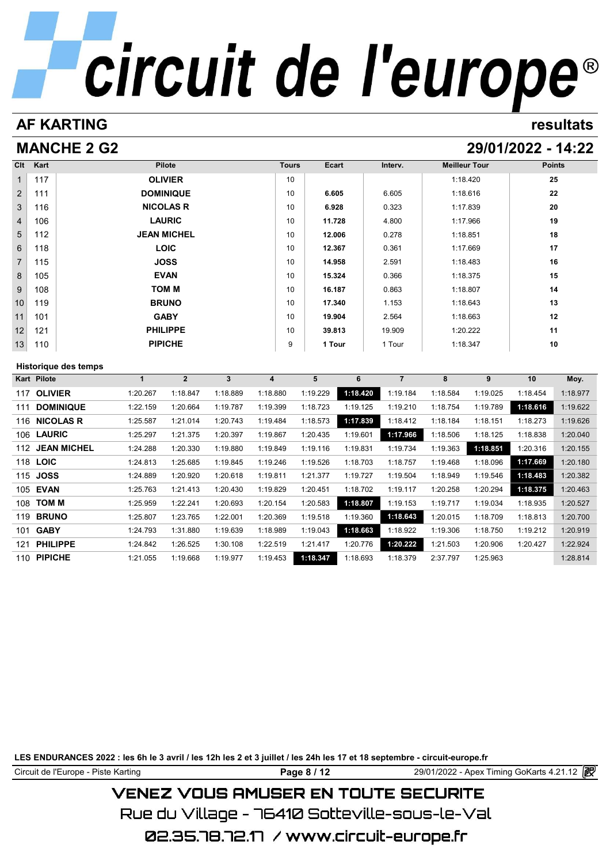# **AF KARTING resultats**

# **MANCHE 2 G2 29/01/2022 - 14:22**

| Clt             | Kart | <b>Pilote</b>      | <b>Tours</b> | Ecart  | Interv. | <b>Meilleur Tour</b> | <b>Points</b> |
|-----------------|------|--------------------|--------------|--------|---------|----------------------|---------------|
| $\mathbf{1}$    | 117  | <b>OLIVIER</b>     | 10           |        |         | 1:18.420             | 25            |
| $\overline{2}$  | 111  | <b>DOMINIQUE</b>   | 10           | 6.605  | 6.605   | 1:18.616             | 22            |
| 3               | 116  | <b>NICOLAS R</b>   | 10           | 6.928  | 0.323   | 1:17.839             | 20            |
| $\overline{4}$  | 106  | <b>LAURIC</b>      | 10           | 11.728 | 4.800   | 1:17.966             | 19            |
| 5               | 112  | <b>JEAN MICHEL</b> | 10           | 12.006 | 0.278   | 1:18.851             | 18            |
| 6               | 118  | <b>LOIC</b>        | 10           | 12.367 | 0.361   | 1:17.669             | 17            |
| $7^{\circ}$     | 115  | <b>JOSS</b>        | 10           | 14.958 | 2.591   | 1:18.483             | 16            |
| 8               | 105  | <b>EVAN</b>        | 10           | 15.324 | 0.366   | 1:18.375             | 15            |
| 9               | 108  | <b>TOM M</b>       | 10           | 16.187 | 0.863   | 1:18.807             | 14            |
| 10 <sup>1</sup> | 119  | <b>BRUNO</b>       | 10           | 17.340 | 1.153   | 1:18.643             | 13            |
| 11              | 101  | <b>GABY</b>        | 10           | 19.904 | 2.564   | 1:18.663             | 12            |
| 12              | 121  | <b>PHILIPPE</b>    | 10           | 39.813 | 19.909  | 1:20.222             | 11            |
| 13              | 110  | <b>PIPICHE</b>     | 9            | 1 Tour | 1 Tour  | 1:18.347             | 10            |

# **Historique des temps**

| Historique des temps      |          |                |          |          |          |          |          |          |          |          |          |
|---------------------------|----------|----------------|----------|----------|----------|----------|----------|----------|----------|----------|----------|
| Kart Pilote               |          | $\overline{2}$ | 3        | 4        | 5        | 6        | 7        | 8        | 9        | 10       | Moy.     |
| <b>OLIVIER</b><br>117     | 1:20.267 | 1:18.847       | 1:18.889 | 1:18.880 | 1:19.229 | 1:18.420 | 1:19.184 | 1:18.584 | 1:19.025 | 1:18.454 | 1:18.977 |
| <b>DOMINIQUE</b><br>111   | 1:22.159 | 1:20.664       | 1:19.787 | 1:19.399 | 1:18.723 | 1:19.125 | 1:19.210 | 1:18.754 | 1:19.789 | 1:18.616 | 1:19.622 |
| <b>NICOLAS R</b><br>116   | 1:25.587 | 1:21.014       | 1:20.743 | 1:19.484 | 1:18.573 | 1:17.839 | 1:18.412 | 1:18.184 | 1:18.151 | 1:18.273 | 1:19.626 |
| 106 LAURIC                | 1:25.297 | 1:21.375       | 1:20.397 | 1:19.867 | 1:20.435 | 1:19.601 | 1:17.966 | 1:18.506 | 1:18.125 | 1:18.838 | 1:20.040 |
| <b>JEAN MICHEL</b><br>112 | 1:24.288 | 1:20.330       | 1:19.880 | 1:19.849 | 1:19.116 | 1:19.831 | 1:19.734 | 1:19.363 | 1:18.851 | 1:20.316 | 1:20.155 |
| 118 LOIC                  | 1:24.813 | 1:25.685       | 1:19.845 | 1:19.246 | 1:19.526 | 1:18.703 | 1:18.757 | 1:19.468 | 1:18.096 | 1:17.669 | 1:20.180 |
| <b>JOSS</b><br>115        | 1:24.889 | 1:20.920       | 1:20.618 | 1:19.811 | 1:21.377 | 1:19.727 | 1:19.504 | 1:18.949 | 1:19.546 | 1:18.483 | 1:20.382 |
| <b>EVAN</b><br>105        | 1:25.763 | 1:21.413       | 1:20.430 | 1:19.829 | 1:20.451 | 1:18.702 | 1:19.117 | 1:20.258 | 1:20.294 | 1:18.375 | 1:20.463 |
| <b>TOM M</b><br>108       | 1:25.959 | 1:22.241       | 1:20.693 | 1:20.154 | 1:20.583 | 1:18.807 | 1:19.153 | 1:19.717 | 1:19.034 | 1:18.935 | 1:20.527 |
| <b>BRUNO</b><br>119       | 1:25.807 | 1:23.765       | 1:22.001 | 1:20.369 | 1:19.518 | 1:19.360 | 1:18.643 | 1:20.015 | 1:18.709 | 1:18.813 | 1:20.700 |
| <b>GABY</b><br>101        | 1:24.793 | 1:31.880       | 1:19.639 | 1:18.989 | 1:19.043 | 1:18.663 | 1:18.922 | 1:19.306 | 1:18.750 | 1:19.212 | 1:20.919 |
| <b>PHILIPPE</b><br>121    | 1:24.842 | 1:26.525       | 1:30.108 | 1:22.519 | 1:21.417 | 1:20.776 | 1:20.222 | 1:21.503 | 1:20.906 | 1:20.427 | 1:22.924 |
| <b>PIPICHE</b><br>110     | 1:21.055 | 1:19.668       | 1:19.977 | 1:19.453 | 1:18.347 | 1:18.693 | 1:18.379 | 2:37.797 | 1:25.963 |          | 1:28.814 |

**LES ENDURANCES 2022 : les 6h le 3 avril / les 12h les 2 et 3 juillet / les 24h les 17 et 18 septembre - circuit-europe.fr**

Circuit de l'Europe - Piste Karting **Page 8 / 12** 29/01/2022 - Apex Timing GoKarts 4.21.12

# **VENEZ VOUS AMUSER EN TOUTE SECURITE**

Rue du Village – 76410 Sotteville-sous-le-Val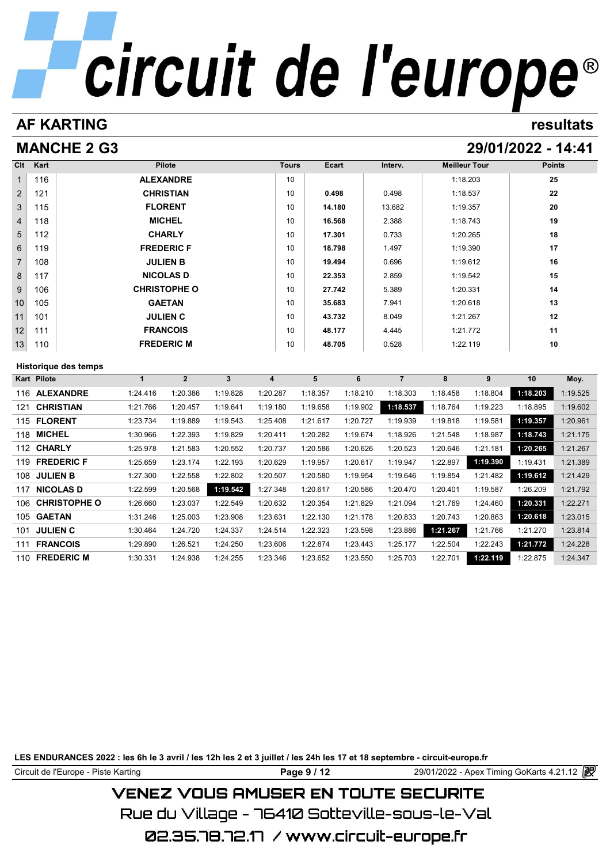# **AF KARTING resultats**

# **MANCHE 2 G3 29/01/2022 - 14:41**

| Clt             | Kart | <b>Pilote</b>        | <b>Tours</b> | Ecart  | Interv. | <b>Meilleur Tour</b> | <b>Points</b> |
|-----------------|------|----------------------|--------------|--------|---------|----------------------|---------------|
| $\mathbf{1}$    | 116  | <b>ALEXANDRE</b>     | 10           |        |         | 1:18.203             | 25            |
| $\overline{2}$  | 121  | <b>CHRISTIAN</b>     | 10           | 0.498  | 0.498   | 1:18.537             | 22            |
| 3               | 115  | <b>FLORENT</b>       | 10           | 14.180 | 13.682  | 1:19.357             | 20            |
| $\overline{4}$  | 118  | <b>MICHEL</b>        | 10           | 16.568 | 2.388   | 1:18.743             | 19            |
| 5               | 112  | <b>CHARLY</b>        | 10           | 17.301 | 0.733   | 1:20.265             | 18            |
| $6\phantom{1}$  | 119  | <b>FREDERIC F</b>    | 10           | 18.798 | 1.497   | 1:19.390             | 17            |
| $\overline{7}$  | 108  | <b>JULIEN B</b>      | 10           | 19.494 | 0.696   | 1:19.612             | 16            |
| 8               | 117  | <b>NICOLAS D</b>     | 10           | 22.353 | 2.859   | 1:19.542             | 15            |
| 9               | 106  | <b>CHRISTOPHE O</b>  | 10           | 27.742 | 5.389   | 1:20.331             | 14            |
| 10 <sup>°</sup> | 105  | <b>GAETAN</b>        | 10           | 35.683 | 7.941   | 1:20.618             | 13            |
| 11              | 101  | <b>JULIEN C</b>      | 10           | 43.732 | 8.049   | 1:21.267             | 12            |
| 12              | 111  | <b>FRANCOIS</b>      | 10           | 48.177 | 4.445   | 1:21.772             | 11            |
| 13              | 110  | <b>FREDERIC M</b>    | 10           | 48.705 | 0.528   | 1:22.119             | 10            |
|                 |      | Historique des temps |              |        |         |                      |               |

| Historique des temps       |          |                |          |          |          |          |          |          |          |          |          |  |
|----------------------------|----------|----------------|----------|----------|----------|----------|----------|----------|----------|----------|----------|--|
| Kart<br>Pilote             |          | $\overline{2}$ | 3        | 4        | 5        | 6        | 7        | 8        | 9        | 10       | Moy.     |  |
| <b>ALEXANDRE</b><br>116    | 1:24.416 | 1:20.386       | 1:19.828 | 1:20.287 | 1:18.357 | 1:18.210 | 1:18.303 | 1:18.458 | 1:18.804 | 1:18.203 | 1:19.525 |  |
| <b>CHRISTIAN</b><br>121    | 1:21.766 | 1:20.457       | 1:19.641 | 1:19.180 | 1:19.658 | 1:19.902 | 1:18.537 | 1:18.764 | 1:19.223 | 1:18.895 | 1:19.602 |  |
| <b>FLORENT</b><br>115      | 1:23.734 | 1:19.889       | 1:19.543 | 1:25.408 | 1:21.617 | 1:20.727 | 1:19.939 | 1:19.818 | 1:19.581 | 1:19.357 | 1:20.961 |  |
| <b>MICHEL</b><br>118       | 1:30.966 | 1:22.393       | 1:19.829 | 1:20.411 | 1:20.282 | 1:19.674 | 1:18.926 | 1:21.548 | 1:18.987 | 1:18.743 | 1:21.175 |  |
| <b>CHARLY</b><br>112       | 1:25.978 | 1:21.583       | 1:20.552 | 1:20.737 | 1:20.586 | 1:20.626 | 1:20.523 | 1:20.646 | 1:21.181 | 1:20.265 | 1:21.267 |  |
| <b>FREDERIC F</b><br>119   | 1:25.659 | 1:23.174       | 1:22.193 | 1:20.629 | 1:19.957 | 1:20.617 | 1:19.947 | 1:22.897 | 1:19.390 | 1:19.431 | 1:21.389 |  |
| <b>JULIEN B</b><br>108     | 1:27.300 | 1:22.558       | 1:22.802 | 1:20.507 | 1:20.580 | 1:19.954 | 1:19.646 | 1:19.854 | 1:21.482 | 1:19.612 | 1:21.429 |  |
| <b>NICOLAS D</b><br>117    | 1:22.599 | 1:20.568       | 1:19.542 | 1:27.348 | 1:20.617 | 1:20.586 | 1:20.470 | 1:20.401 | 1:19.587 | 1:26.209 | 1:21.792 |  |
| <b>CHRISTOPHE O</b><br>106 | 1:26.660 | 1:23.037       | 1:22.549 | 1:20.632 | 1:20.354 | 1:21.829 | 1:21.094 | 1:21.769 | 1:24.460 | 1:20.331 | 1:22.271 |  |
| <b>GAETAN</b><br>105       | 1:31.246 | 1:25.003       | 1:23.908 | 1:23.631 | 1:22.130 | 1:21.178 | 1:20.833 | 1:20.743 | 1:20.863 | 1:20.618 | 1:23.015 |  |
| <b>JULIEN C</b><br>101     | 1:30.464 | 1:24.720       | 1:24.337 | 1:24.514 | 1:22.323 | 1:23.598 | 1:23.886 | 1:21.267 | 1:21.766 | 1:21.270 | 1:23.814 |  |
| <b>FRANCOIS</b><br>111     | 1:29.890 | 1:26.521       | 1:24.250 | 1:23.606 | 1:22.874 | 1:23.443 | 1:25.177 | 1:22.504 | 1:22.243 | 1:21.772 | 1:24.228 |  |
| <b>FREDERIC M</b><br>110   | 1:30.331 | 1:24.938       | 1:24.255 | 1:23.346 | 1:23.652 | 1:23.550 | 1:25.703 | 1:22.701 | 1:22.119 | 1:22.875 | 1:24.347 |  |

**LES ENDURANCES 2022 : les 6h le 3 avril / les 12h les 2 et 3 juillet / les 24h les 17 et 18 septembre - circuit-europe.fr**

Circuit de l'Europe - Piste Karting **Page 9 / 12** 29/01/2022 - Apex Timing GoKarts 4.21.12 P

**VENEZ VOUS AMUSER EN TOUTE SECURITE** 

Rue du Village – 76410 Sotteville-sous-le-Val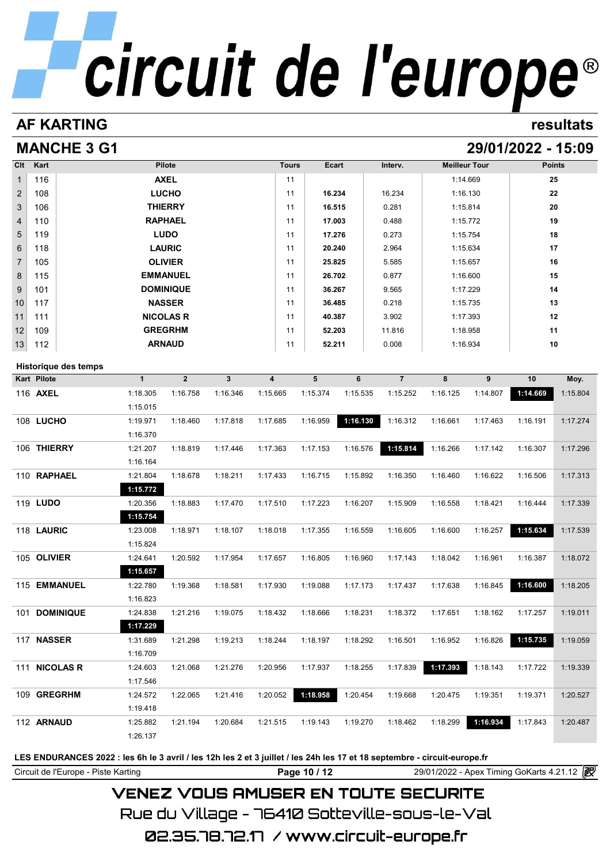# **AF KARTING resultats**

# **MANCHE 3 G1 29/01/2022 - 15:09**

| $Cl$           | Kart          |                      |              | <b>Pilote</b>    |              |          | <b>Tours</b> | <b>Ecart</b> |          | Interv.           | <b>Meilleur Tour</b> |          | <b>Points</b> |          |
|----------------|---------------|----------------------|--------------|------------------|--------------|----------|--------------|--------------|----------|-------------------|----------------------|----------|---------------|----------|
| $\mathbf{1}$   | 116           |                      |              | <b>AXEL</b>      |              |          | 11           |              |          |                   |                      | 1:14.669 |               | 25       |
| $\overline{2}$ | 108           |                      |              | <b>LUCHO</b>     |              |          | 11           | 16.234       |          | 16.234            | 1:16.130             |          |               | 22       |
| 3              | 106           |                      |              | <b>THIERRY</b>   |              |          | 11           | 16.515       |          | 0.281             | 1:15.814             |          |               | 20       |
| 4              | 110           |                      |              | <b>RAPHAEL</b>   |              |          | 11           | 17.003       |          | 0.488             | 1:15.772             |          |               | 19       |
| 5              | 119           |                      |              | <b>LUDO</b>      |              |          | 11           | 17.276       |          | 0.273             | 1:15.754             |          |               | 18       |
| 6              | 118           |                      |              | <b>LAURIC</b>    |              |          | 11           | 20.240       |          | 2.964             | 1:15.634             |          |               | 17       |
| $\overline{7}$ | 105           |                      |              | <b>OLIVIER</b>   |              |          | 11           | 25.825       |          | 5.585             | 1:15.657             |          | 16            |          |
| 8              | 115           |                      |              | <b>EMMANUEL</b>  |              |          | 11           | 26.702       |          | 0.877             | 1:16.600             |          | 15            |          |
| 9              | 101           |                      |              | <b>DOMINIQUE</b> |              |          | 11           | 36.267       |          | 9.565             | 1:17.229             |          |               | 14       |
| 10             | 117           |                      |              | <b>NASSER</b>    |              |          | 11           | 36.485       |          | 0.218             | 1:15.735             |          |               | 13       |
| 11             | 111           |                      |              | <b>NICOLAS R</b> |              |          | 11           | 40.387       |          | 3.902             | 1:17.393             |          | 12            |          |
| 12             | 109           |                      |              | <b>GREGRHM</b>   |              |          | 11           | 52.203       |          | 11.816            | 1:18.958             |          |               | 11       |
| 13             | 112           |                      |              | <b>ARNAUD</b>    |              |          | 11           | 52.211       |          | 0.008<br>1:16.934 |                      | 10       |               |          |
|                |               | Historique des temps |              |                  |              |          |              |              |          |                   |                      |          |               |          |
|                | Kart Pilote   |                      | $\mathbf{1}$ | $\boldsymbol{2}$ | $\mathbf{3}$ | 4        |              | 5            | 6        | $\overline{7}$    | 8                    | 9        | $10\,$        | Moy.     |
|                | 116 AXEL      |                      | 1:18.305     | 1:16.758         | 1:16.346     | 1:15.665 |              | 1:15.374     | 1:15.535 | 1:15.252          | 1:16.125             | 1:14.807 | 1:14.669      | 1:15.804 |
|                |               |                      | 1:15.015     |                  |              |          |              |              |          |                   |                      |          |               |          |
|                | 108 LUCHO     |                      | 1:19.971     | 1:18.460         | 1:17.818     | 1:17.685 |              | 1:16.959     | 1:16.130 | 1:16.312          | 1:16.661             | 1:17.463 | 1:16.191      | 1:17.274 |
|                |               |                      | 1:16.370     |                  |              |          |              |              |          |                   |                      |          |               |          |
|                | 106 THIERRY   |                      | 1:21.207     | 1:18.819         | 1:17.446     | 1:17.363 |              | 1:17.153     | 1:16.576 | 1:15.814          | 1:16.266             | 1:17.142 | 1:16.307      | 1:17.296 |
|                |               |                      | 1:16.164     |                  |              |          |              |              |          |                   |                      |          |               |          |
|                | 110 RAPHAEL   |                      | 1:21.804     | 1:18.678         | 1:18.211     | 1:17.433 |              | 1:16.715     | 1:15.892 | 1:16.350          | 1:16.460             | 1:16.622 | 1:16.506      | 1:17.313 |
|                |               |                      | 1:15.772     |                  |              |          |              |              |          |                   |                      |          |               |          |
|                | 119 LUDO      |                      | 1:20.356     | 1:18.883         | 1:17.470     | 1:17.510 |              | 1:17.223     | 1:16.207 | 1:15.909          | 1:16.558             | 1:18.421 | 1:16.444      | 1:17.339 |
|                |               |                      | 1:15.754     |                  |              |          |              |              |          |                   |                      |          |               |          |
|                | 118 LAURIC    |                      | 1:23.008     | 1:18.971         | 1:18.107     | 1:18.018 |              | 1:17.355     | 1:16.559 | 1:16.605          | 1:16.600             | 1:16.257 | 1:15.634      | 1:17.539 |
|                |               |                      | 1:15.824     |                  |              |          |              |              |          |                   |                      |          |               |          |
|                | 105 OLIVIER   |                      | 1:24.641     | 1:20.592         | 1:17.954     | 1:17.657 |              | 1:16.805     | 1:16.960 | 1:17.143          | 1:18.042             | 1:16.961 | 1:16.387      | 1:18.072 |
|                |               |                      | 1:15.657     |                  |              |          |              |              |          |                   |                      |          |               |          |
|                |               | 115 EMMANUEL         | 1:22.780     | 1:19.368         | 1:18.581     | 1:17.930 |              | 1:19.088     | 1:17.173 | 1:17.437          | 1:17.638             | 1:16.845 | 1:16.600      | 1:18.205 |
|                |               |                      | 1:16.823     |                  |              |          |              |              |          |                   |                      |          |               |          |
|                |               | 101 DOMINIQUE        | 1:24.838     | 1:21.216         | 1:19.075     | 1:18.432 |              | 1:18.666     | 1:18.231 | 1:18.372          | 1:17.651             | 1:18.162 | 1:17.257      | 1:19.011 |
|                |               |                      | 1:17.229     |                  |              |          |              |              |          |                   |                      |          |               |          |
|                | 117 NASSER    |                      | 1:31.689     | 1:21.298         | 1:19.213     | 1:18.244 |              | 1:18.197     | 1:18.292 | 1:16.501          | 1:16.952             | 1:16.826 | 1:15.735      | 1:19.059 |
|                |               |                      | 1:16.709     |                  |              |          |              |              |          |                   |                      |          |               |          |
|                | 111 NICOLAS R |                      | 1:24.603     | 1:21.068         | 1:21.276     | 1:20.956 |              | 1:17.937     | 1:18.255 | 1:17.839          | 1:17.393             | 1:18.143 | 1:17.722      | 1:19.339 |
|                |               |                      | 1:17.546     |                  |              |          |              |              |          |                   |                      |          |               |          |
|                | 109 GREGRHM   |                      | 1:24.572     | 1:22.065         | 1:21.416     | 1:20.052 |              | 1:18.958     | 1:20.454 | 1:19.668          | 1:20.475             | 1:19.351 | 1:19.371      | 1:20.527 |
|                |               |                      | 1:19.418     |                  |              |          |              |              |          |                   |                      |          |               |          |
|                | 112 ARNAUD    |                      | 1:25.882     | 1:21.194         | 1:20.684     | 1:21.515 |              | 1:19.143     | 1:19.270 | 1:18.462          | 1:18.299             | 1:16.934 | 1:17.843      | 1:20.487 |
|                |               |                      | 1:26.137     |                  |              |          |              |              |          |                   |                      |          |               |          |
|                |               |                      |              |                  |              |          |              |              |          |                   |                      |          |               |          |

**LES ENDURANCES 2022 : les 6h le 3 avril / les 12h les 2 et 3 juillet / les 24h les 17 et 18 septembre - circuit-europe.fr**

Page 10 / 12 29/01/2022 - Apex Timing GoKarts 4.21.12 **Page 10 / 12** 29/01/2022 - Apex Timing GoKarts 4.21.12

# **VENEZ VOUS AMUSER EN TOUTE SECURITE**

Rue du Village – 76410 Sotteville-sous-le-Val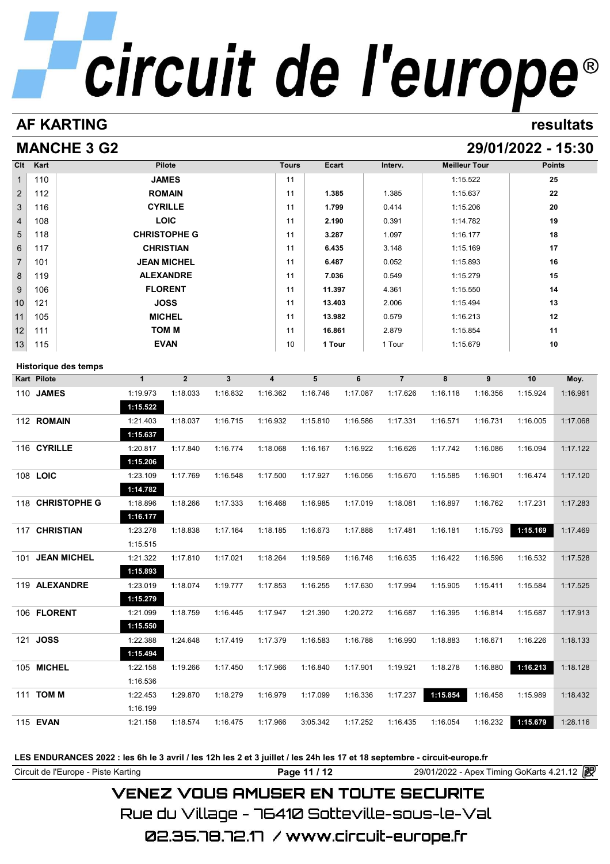# **AF KARTING resultats**

# **MANCHE 3 G2 29/01/2022 - 15:30**

| Clt             | Kart | <b>Pilote</b>       | <b>Tours</b> | Ecart  | Interv. | <b>Meilleur Tour</b> | <b>Points</b> |
|-----------------|------|---------------------|--------------|--------|---------|----------------------|---------------|
| $\mathbf{1}$    | 110  | <b>JAMES</b>        | 11           |        |         | 1:15.522             | 25            |
| $\overline{2}$  | 112  | <b>ROMAIN</b>       | 11           | 1.385  | 1.385   | 1:15.637             | 22            |
| $\mathbf{3}$    | 116  | <b>CYRILLE</b>      | 11           | 1.799  | 0.414   | 1:15.206             | 20            |
| $\overline{4}$  | 108  | <b>LOIC</b>         | 11           | 2.190  | 0.391   | 1:14.782             | 19            |
| $5\overline{)}$ | 118  | <b>CHRISTOPHE G</b> | 11           | 3.287  | 1.097   | 1:16.177             | 18            |
| 6               | 117  | <b>CHRISTIAN</b>    | 11           | 6.435  | 3.148   | 1:15.169             | 17            |
| $\overline{7}$  | 101  | <b>JEAN MICHEL</b>  | 11           | 6.487  | 0.052   | 1:15.893             | 16            |
| 8               | 119  | <b>ALEXANDRE</b>    | 11           | 7.036  | 0.549   | 1:15.279             | 15            |
| 9               | 106  | <b>FLORENT</b>      | 11           | 11.397 | 4.361   | 1:15.550             | 14            |
| 10              | 121  | <b>JOSS</b>         | 11           | 13.403 | 2.006   | 1:15.494             | 13            |
| 11              | 105  | <b>MICHEL</b>       | 11           | 13.982 | 0.579   | 1:16.213             | 12            |
| 12              | 111  | <b>TOM M</b>        | 11           | 16.861 | 2.879   | 1:15.854             | 11            |
| 13              | 115  | <b>EVAN</b>         | 10           | 1 Tour | 1 Tour  | 1:15.679             | 10            |

# **Historique des temps**

| <b>Historique des temps</b> |              |                |          |          |          |          |                |          |          |          |          |
|-----------------------------|--------------|----------------|----------|----------|----------|----------|----------------|----------|----------|----------|----------|
| <b>Kart Pilote</b>          | $\mathbf{1}$ | $\overline{2}$ | 3        | 4        | 5        | 6        | $\overline{7}$ | 8        | 9        | 10       | Moy.     |
| <b>JAMES</b><br>110         | 1:19.973     | 1:18.033       | 1:16.832 | 1:16.362 | 1:16.746 | 1:17.087 | 1:17.626       | 1:16.118 | 1:16.356 | 1:15.924 | 1:16.961 |
|                             | 1:15.522     |                |          |          |          |          |                |          |          |          |          |
| 112 ROMAIN                  | 1:21.403     | 1:18.037       | 1:16.715 | 1:16.932 | 1:15.810 | 1:16.586 | 1:17.331       | 1:16.571 | 1:16.731 | 1:16.005 | 1:17.068 |
|                             | 1:15.637     |                |          |          |          |          |                |          |          |          |          |
| 116 CYRILLE                 | 1:20.817     | 1:17.840       | 1:16.774 | 1:18.068 | 1:16.167 | 1:16.922 | 1:16.626       | 1:17.742 | 1:16.086 | 1:16.094 | 1:17.122 |
|                             | 1:15.206     |                |          |          |          |          |                |          |          |          |          |
| 108 LOIC                    | 1:23.109     | 1:17.769       | 1:16.548 | 1:17.500 | 1:17.927 | 1:16.056 | 1:15.670       | 1:15.585 | 1:16.901 | 1:16.474 | 1:17.120 |
|                             | 1:14.782     |                |          |          |          |          |                |          |          |          |          |
| 118 CHRISTOPHE G            | 1:18.896     | 1:18.266       | 1:17.333 | 1:16.468 | 1:16.985 | 1:17.019 | 1:18.081       | 1:16.897 | 1:16.762 | 1:17.231 | 1:17.283 |
|                             | 1:16.177     |                |          |          |          |          |                |          |          |          |          |
| 117 CHRISTIAN               | 1:23.278     | 1:18.838       | 1:17.164 | 1:18.185 | 1:16.673 | 1:17.888 | 1:17.481       | 1:16.181 | 1:15.793 | 1:15.169 | 1:17.469 |
|                             | 1:15.515     |                |          |          |          |          |                |          |          |          |          |
| <b>JEAN MICHEL</b><br>101   | 1:21.322     | 1:17.810       | 1:17.021 | 1:18.264 | 1:19.569 | 1:16.748 | 1:16.635       | 1:16.422 | 1:16.596 | 1:16.532 | 1:17.528 |
|                             | 1:15.893     |                |          |          |          |          |                |          |          |          |          |
| 119 ALEXANDRE               | 1:23.019     | 1:18.074       | 1:19.777 | 1:17.853 | 1:16.255 | 1:17.630 | 1:17.994       | 1:15.905 | 1:15.411 | 1:15.584 | 1:17.525 |
|                             | 1:15.279     |                |          |          |          |          |                |          |          |          |          |
| 106 FLORENT                 | 1:21.099     | 1:18.759       | 1:16.445 | 1:17.947 | 1:21.390 | 1:20.272 | 1:16.687       | 1:16.395 | 1:16.814 | 1:15.687 | 1:17.913 |
|                             | 1:15.550     |                |          |          |          |          |                |          |          |          |          |
| <b>JOSS</b><br>121          | 1:22.388     | 1:24.648       | 1:17.419 | 1:17.379 | 1:16.583 | 1:16.788 | 1:16.990       | 1:18.883 | 1:16.671 | 1:16.226 | 1:18.133 |
|                             | 1:15.494     |                |          |          |          |          |                |          |          |          |          |
| 105 MICHEL                  | 1:22.158     | 1:19.266       | 1:17.450 | 1:17.966 | 1:16.840 | 1:17.901 | 1:19.921       | 1:18.278 | 1:16.880 | 1:16.213 | 1:18.128 |
|                             | 1:16.536     |                |          |          |          |          |                |          |          |          |          |
| <b>TOM M</b><br>111         | 1:22.453     | 1:29.870       | 1:18.279 | 1:16.979 | 1:17.099 | 1:16.336 | 1:17.237       | 1:15.854 | 1:16.458 | 1:15.989 | 1:18.432 |
|                             | 1:16.199     |                |          |          |          |          |                |          |          |          |          |
| 115 EVAN                    | 1:21.158     | 1:18.574       | 1:16.475 | 1:17.966 | 3:05.342 | 1:17.252 | 1:16.435       | 1:16.054 | 1:16.232 | 1:15.679 | 1:28.116 |
|                             |              |                |          |          |          |          |                |          |          |          |          |

**LES ENDURANCES 2022 : les 6h le 3 avril / les 12h les 2 et 3 juillet / les 24h les 17 et 18 septembre - circuit-europe.fr**

Circuit de l'Europe - Piste Karting **Page 11 / 12** 29/01/2022 - Apex Timing GoKarts 4.21.12

# **VENEZ VOUS AMUSER EN TOUTE SECURITE**

Rue du Village – 76410 Sotteville-sous-le-Val